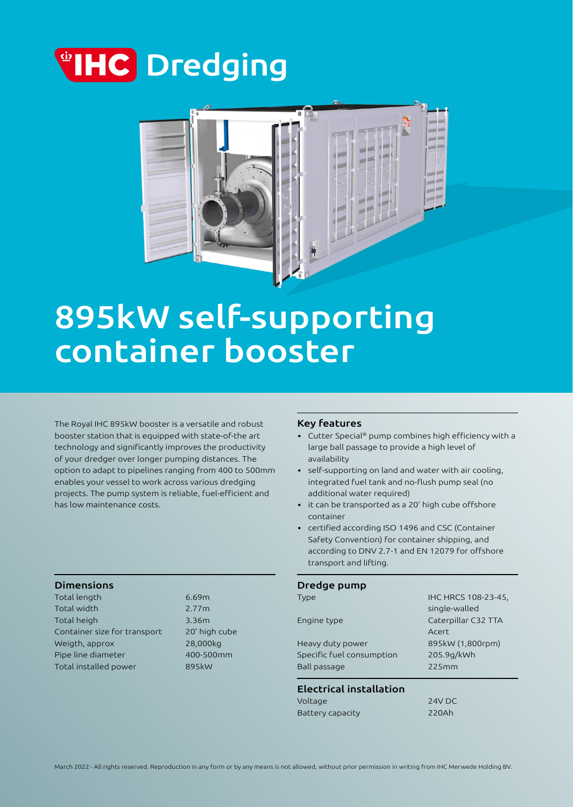



# 895kW self-supporting container booster

The Royal IHC 895kW booster is a versatile and robust booster station that is equipped with state-of-the art technology and significantly improves the productivity of your dredger over longer pumping distances. The option to adapt to pipelines ranging from 400 to 500mm enables your vessel to work across various dredging projects. The pump system is reliable, fuel-efficient and has low maintenance costs.

# Dimensions

Total length 6.69m Total width 2.77m Total heigh 3.36m Container size for transport 20' high cube Weigth, approx 28,000kg Pipe line diameter 400-500mm Total installed power 895kW

### Key features

- Cutter Special® pump combines high efficiency with a large ball passage to provide a high level of availability
- self-supporting on land and water with air cooling, integrated fuel tank and no-flush pump seal (no additional water required)
- it can be transported as a 20' high cube offshore container
- certified according ISO 1496 and CSC (Container Safety Convention) for container shipping, and according to DNV 2.7-1 and EN 12079 for offshore transport and lifting.

#### Dredge pump

| Ball passage              | 225mm               |
|---------------------------|---------------------|
| Specific fuel consumption | 205.9g/kWh          |
| Heavy duty power          | 895kW (1,800rpm)    |
|                           | Acert               |
| Engine type               | Caterpillar C32 TTA |
|                           | single-walled       |
| Type                      | IHC HRCS 108-23-45, |

## Electrical installation

| Voltage          | <b>24V DC</b> |
|------------------|---------------|
| Battery capacity | 220Ah         |